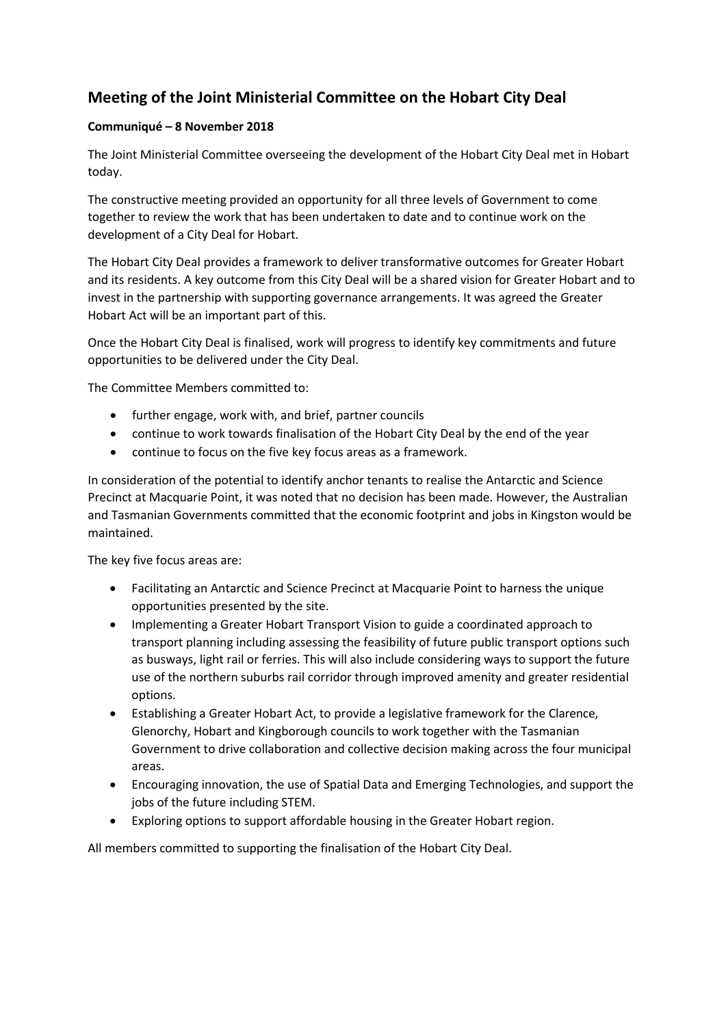## **Meeting of the Joint Ministerial Committee on the Hobart City Deal**

## **Communiqué – 8 November 2018**

The Joint Ministerial Committee overseeing the development of the Hobart City Deal met in Hobart today.

The constructive meeting provided an opportunity for all three levels of Government to come together to review the work that has been undertaken to date and to continue work on the development of a City Deal for Hobart.

The Hobart City Deal provides a framework to deliver transformative outcomes for Greater Hobart and its residents. A key outcome from this City Deal will be a shared vision for Greater Hobart and to invest in the partnership with supporting governance arrangements. It was agreed the Greater Hobart Act will be an important part of this.

Once the Hobart City Deal is finalised, work will progress to identify key commitments and future opportunities to be delivered under the City Deal.

The Committee Members committed to:

- further engage, work with, and brief, partner councils
- continue to work towards finalisation of the Hobart City Deal by the end of the year
- continue to focus on the five key focus areas as a framework.

In consideration of the potential to identify anchor tenants to realise the Antarctic and Science Precinct at Macquarie Point, it was noted that no decision has been made. However, the Australian and Tasmanian Governments committed that the economic footprint and jobs in Kingston would be maintained.

The key five focus areas are:

- Facilitating an Antarctic and Science Precinct at Macquarie Point to harness the unique opportunities presented by the site.
- Implementing a Greater Hobart Transport Vision to guide a coordinated approach to transport planning including assessing the feasibility of future public transport options such as busways, light rail or ferries. This will also include considering ways to support the future use of the northern suburbs rail corridor through improved amenity and greater residential options.
- Establishing a Greater Hobart Act, to provide a legislative framework for the Clarence, Glenorchy, Hobart and Kingborough councils to work together with the Tasmanian Government to drive collaboration and collective decision making across the four municipal areas.
- Encouraging innovation, the use of Spatial Data and Emerging Technologies, and support the jobs of the future including STEM.
- Exploring options to support affordable housing in the Greater Hobart region.

All members committed to supporting the finalisation of the Hobart City Deal.